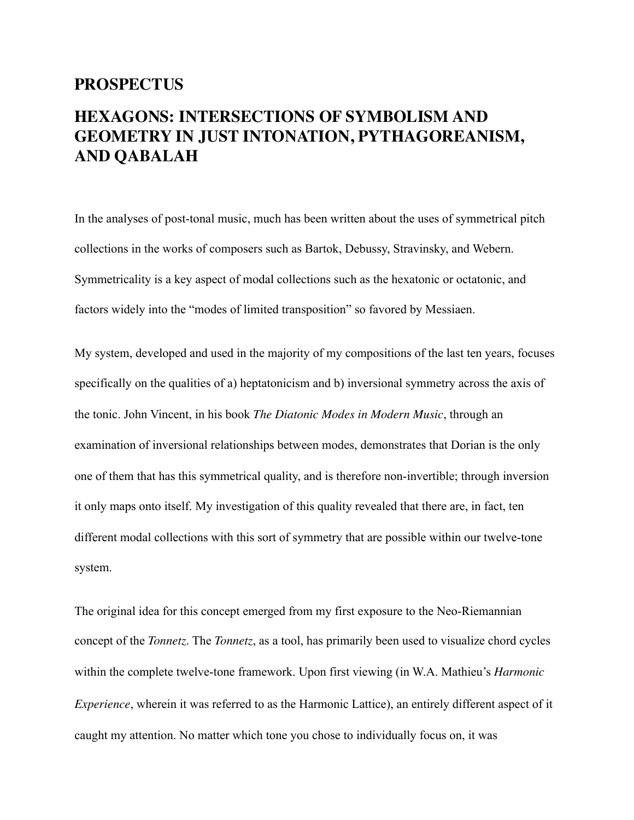## **PROSPECTUS**

## **HEXAGONS: INTERSECTIONS OF SYMBOLISM AND GEOMETRY IN JUST INTONATION, PYTHAGOREANISM, AND QABALAH**

In the analyses of post-tonal music, much has been written about the uses of symmetrical pitch collections in the works of composers such as Bartok, Debussy, Stravinsky, and Webern. Symmetricality is a key aspect of modal collections such as the hexatonic or octatonic, and factors widely into the "modes of limited transposition" so favored by Messiaen.

My system, developed and used in the majority of my compositions of the last ten years, focuses specifically on the qualities of a) heptatonicism and b) inversional symmetry across the axis of the tonic. John Vincent, in his book *The Diatonic Modes in Modern Music*, through an examination of inversional relationships between modes, demonstrates that Dorian is the only one of them that has this symmetrical quality, and is therefore non-invertible; through inversion it only maps onto itself. My investigation of this quality revealed that there are, in fact, ten different modal collections with this sort of symmetry that are possible within our twelve-tone system.

The original idea for this concept emerged from my first exposure to the Neo-Riemannian concept of the *Tonnetz*. The *Tonnetz*, as a tool, has primarily been used to visualize chord cycles within the complete twelve-tone framework. Upon first viewing (in W.A. Mathieu's *Harmonic Experience*, wherein it was referred to as the Harmonic Lattice), an entirely different aspect of it caught my attention. No matter which tone you chose to individually focus on, it was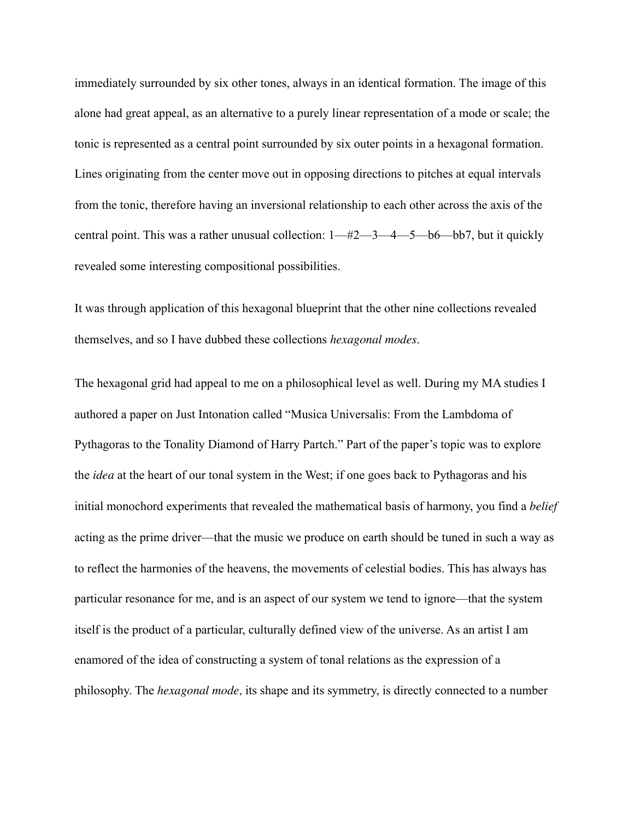immediately surrounded by six other tones, always in an identical formation. The image of this alone had great appeal, as an alternative to a purely linear representation of a mode or scale; the tonic is represented as a central point surrounded by six outer points in a hexagonal formation. Lines originating from the center move out in opposing directions to pitches at equal intervals from the tonic, therefore having an inversional relationship to each other across the axis of the central point. This was a rather unusual collection: 1—#2—3—4—5—b6—bb7, but it quickly revealed some interesting compositional possibilities.

It was through application of this hexagonal blueprint that the other nine collections revealed themselves, and so I have dubbed these collections *hexagonal modes*.

The hexagonal grid had appeal to me on a philosophical level as well. During my MA studies I authored a paper on Just Intonation called "Musica Universalis: From the Lambdoma of Pythagoras to the Tonality Diamond of Harry Partch." Part of the paper's topic was to explore the *idea* at the heart of our tonal system in the West; if one goes back to Pythagoras and his initial monochord experiments that revealed the mathematical basis of harmony, you find a *belief*  acting as the prime driver—that the music we produce on earth should be tuned in such a way as to reflect the harmonies of the heavens, the movements of celestial bodies. This has always has particular resonance for me, and is an aspect of our system we tend to ignore—that the system itself is the product of a particular, culturally defined view of the universe. As an artist I am enamored of the idea of constructing a system of tonal relations as the expression of a philosophy. The *hexagonal mode,* its shape and its symmetry, is directly connected to a number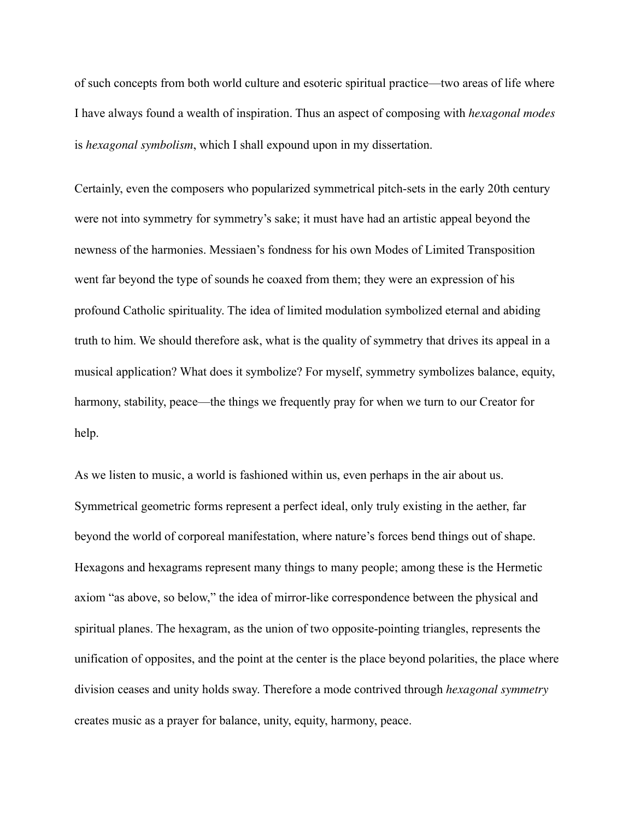of such concepts from both world culture and esoteric spiritual practice—two areas of life where I have always found a wealth of inspiration. Thus an aspect of composing with *hexagonal modes*  is *hexagonal symbolism*, which I shall expound upon in my dissertation.

Certainly, even the composers who popularized symmetrical pitch-sets in the early 20th century were not into symmetry for symmetry's sake; it must have had an artistic appeal beyond the newness of the harmonies. Messiaen's fondness for his own Modes of Limited Transposition went far beyond the type of sounds he coaxed from them; they were an expression of his profound Catholic spirituality. The idea of limited modulation symbolized eternal and abiding truth to him. We should therefore ask, what is the quality of symmetry that drives its appeal in a musical application? What does it symbolize? For myself, symmetry symbolizes balance, equity, harmony, stability, peace—the things we frequently pray for when we turn to our Creator for help.

As we listen to music, a world is fashioned within us, even perhaps in the air about us. Symmetrical geometric forms represent a perfect ideal, only truly existing in the aether, far beyond the world of corporeal manifestation, where nature's forces bend things out of shape. Hexagons and hexagrams represent many things to many people; among these is the Hermetic axiom "as above, so below," the idea of mirror-like correspondence between the physical and spiritual planes. The hexagram, as the union of two opposite-pointing triangles, represents the unification of opposites, and the point at the center is the place beyond polarities, the place where division ceases and unity holds sway. Therefore a mode contrived through *hexagonal symmetry*  creates music as a prayer for balance, unity, equity, harmony, peace.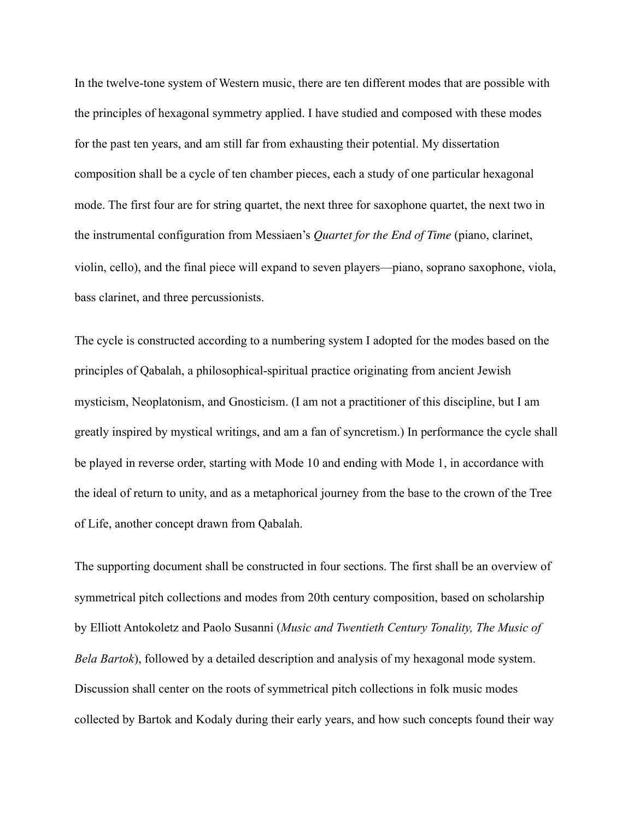In the twelve-tone system of Western music, there are ten different modes that are possible with the principles of hexagonal symmetry applied. I have studied and composed with these modes for the past ten years, and am still far from exhausting their potential. My dissertation composition shall be a cycle of ten chamber pieces, each a study of one particular hexagonal mode. The first four are for string quartet, the next three for saxophone quartet, the next two in the instrumental configuration from Messiaen's *Quartet for the End of Time* (piano, clarinet, violin, cello), and the final piece will expand to seven players—piano, soprano saxophone, viola, bass clarinet, and three percussionists.

The cycle is constructed according to a numbering system I adopted for the modes based on the principles of Qabalah, a philosophical-spiritual practice originating from ancient Jewish mysticism, Neoplatonism, and Gnosticism. (I am not a practitioner of this discipline, but I am greatly inspired by mystical writings, and am a fan of syncretism.) In performance the cycle shall be played in reverse order, starting with Mode 10 and ending with Mode 1, in accordance with the ideal of return to unity, and as a metaphorical journey from the base to the crown of the Tree of Life, another concept drawn from Qabalah.

The supporting document shall be constructed in four sections. The first shall be an overview of symmetrical pitch collections and modes from 20th century composition, based on scholarship by Elliott Antokoletz and Paolo Susanni (*Music and Twentieth Century Tonality, The Music of Bela Bartok*), followed by a detailed description and analysis of my hexagonal mode system. Discussion shall center on the roots of symmetrical pitch collections in folk music modes collected by Bartok and Kodaly during their early years, and how such concepts found their way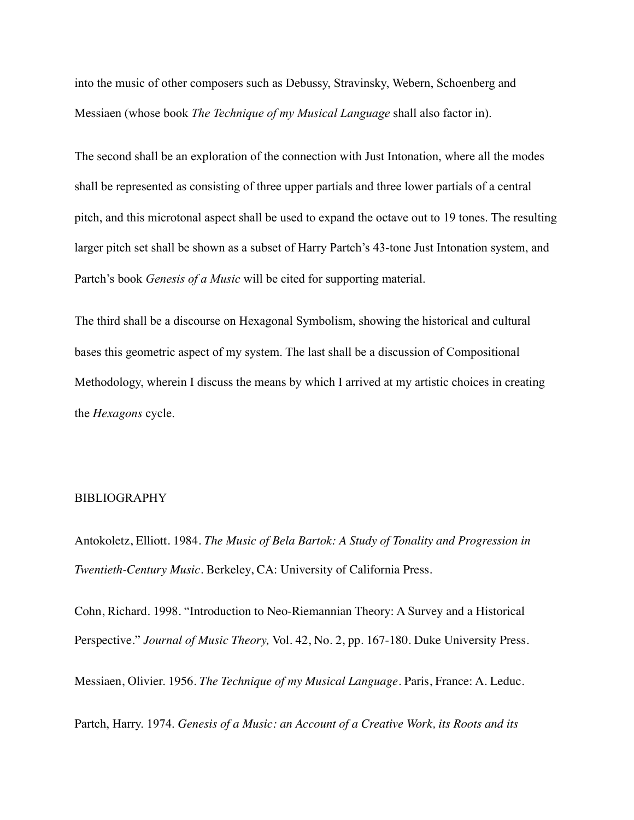into the music of other composers such as Debussy, Stravinsky, Webern, Schoenberg and Messiaen (whose book *The Technique of my Musical Language* shall also factor in).

The second shall be an exploration of the connection with Just Intonation, where all the modes shall be represented as consisting of three upper partials and three lower partials of a central pitch, and this microtonal aspect shall be used to expand the octave out to 19 tones. The resulting larger pitch set shall be shown as a subset of Harry Partch's 43-tone Just Intonation system, and Partch's book *Genesis of a Music* will be cited for supporting material.

The third shall be a discourse on Hexagonal Symbolism, showing the historical and cultural bases this geometric aspect of my system. The last shall be a discussion of Compositional Methodology, wherein I discuss the means by which I arrived at my artistic choices in creating the *Hexagons* cycle.

## BIBLIOGRAPHY

Antokoletz, Elliott. 1984. *The Music of Bela Bartok: A Study of Tonality and Progression in Twentieth-Century Music.* Berkeley, CA: University of California Press.

Cohn, Richard. 1998. "Introduction to Neo-Riemannian Theory: A Survey and a Historical Perspective." *Journal of Music Theory,* Vol. 42, No. 2, pp. 167-180. Duke University Press.

Messiaen, Olivier. 1956. *The Technique of my Musical Language.* Paris, France: A. Leduc.

Partch, Harry. 1974. *Genesis of a Music: an Account of a Creative Work, its Roots and its*